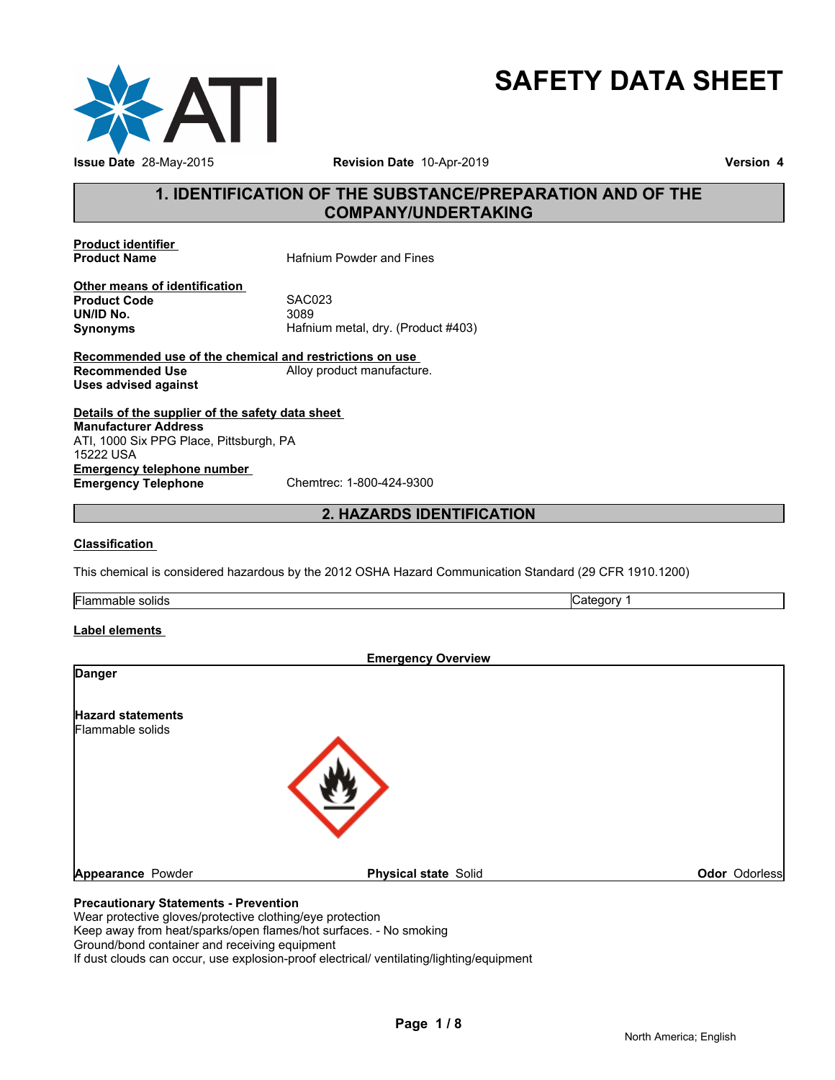

# **SAFETY DATA SHEET**

### **1. IDENTIFICATION OF THE SUBSTANCE/PREPARATION AND OF THE COMPANY/UNDERTAKING**

**Product identifier** 

**Hafnium Powder and Fines** 

**Other means of identification**<br>**Product Code** SAC023 **Product Code** SACO<br> **UN/ID No.** 3089 **UN/ID No.**<br>Synonyms

**Synonyms** Hafnium metal, dry. (Product #403)

**Recommended use of the chemical and restrictions on use**  Alloy product manufacture. **Uses advised against**

**Details of the supplier of the safety data sheet Emergency telephone number**<br> **Emergency Telephone**<br>
Chemtrec: 1-800-424-9300 **Emergency Telephone Manufacturer Address** ATI, 1000 Six PPG Place, Pittsburgh, PA 15222 USA

#### **2. HAZARDS IDENTIFICATION**

#### **Classification**

This chemical is considered hazardous by the 2012 OSHA Hazard Communication Standard (29 CFR 1910.1200)

Flammable solids **Category 1 Category 1** 

#### **Label elements**

|                                              | <b>Emergency Overview</b>   |               |
|----------------------------------------------|-----------------------------|---------------|
| <b>Danger</b>                                |                             |               |
| <b>Hazard statements</b><br>Flammable solids |                             |               |
|                                              |                             |               |
| Appearance Powder                            | <b>Physical state Solid</b> | Odor Odorless |
| <b>Precautionary Statements - Prevention</b> |                             |               |
|                                              |                             |               |

Wear protective gloves/protective clothing/eye protection Keep away from heat/sparks/open flames/hot surfaces. - No smoking Ground/bond container and receiving equipment If dust clouds can occur, use explosion-proof electrical/ ventilating/lighting/equipment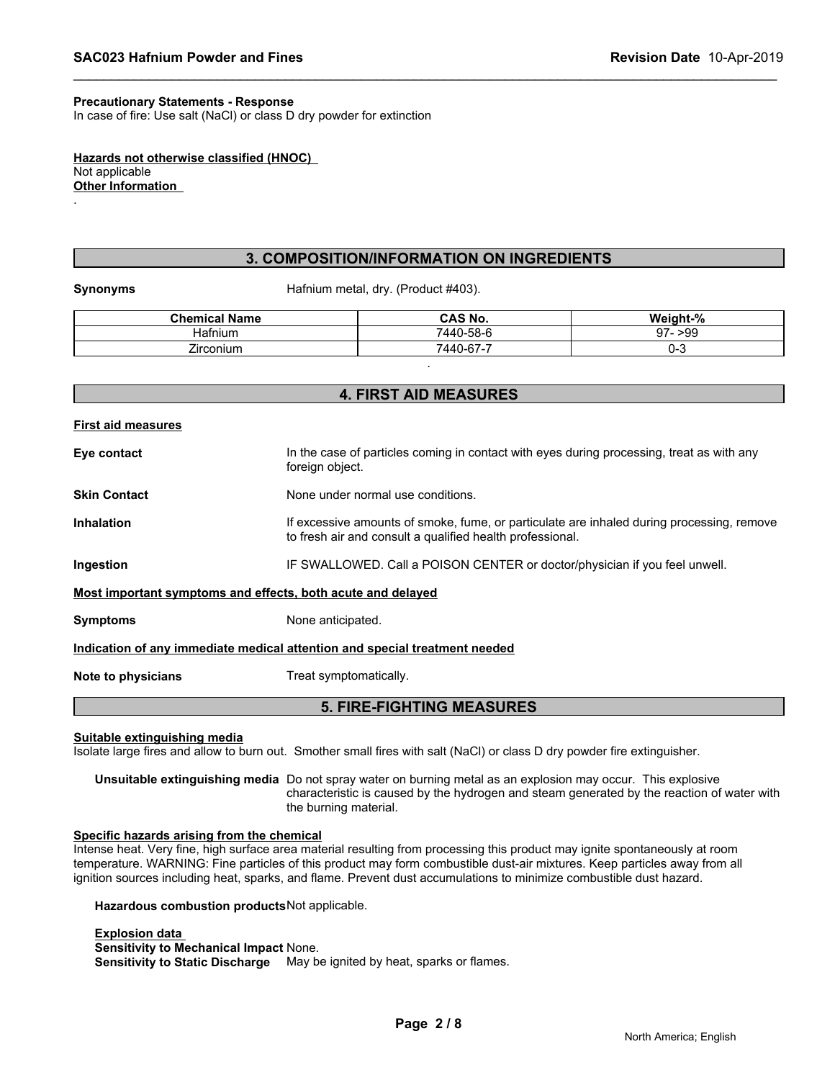#### **Precautionary Statements - Response**

In case of fire: Use salt (NaCl) or class D dry powder for extinction

**Hazards not otherwise classified (HNOC)**  Not applicable **Other Information** 

#### **3. COMPOSITION/INFORMATION ON INGREDIENTS**

.

**Synonyms** Hafnium metal, dry. (Product #403).

| <b>Chemical Name</b> | <b>CAS No.</b> | Weight-%  |
|----------------------|----------------|-----------|
| ⊣atnıum              | 7440-58-6      | $97 - 99$ |
| -<br>Zirconium       | 7440-67-7      | v-o       |
|                      |                |           |

## **4. FIRST AID MEASURES**

| First aid measures                                          |                                                                                                                                                        |
|-------------------------------------------------------------|--------------------------------------------------------------------------------------------------------------------------------------------------------|
| Eye contact                                                 | In the case of particles coming in contact with eyes during processing, treat as with any<br>foreign object.                                           |
| <b>Skin Contact</b>                                         | None under normal use conditions.                                                                                                                      |
| <b>Inhalation</b>                                           | If excessive amounts of smoke, fume, or particulate are inhaled during processing, remove<br>to fresh air and consult a qualified health professional. |
| Ingestion                                                   | IF SWALLOWED. Call a POISON CENTER or doctor/physician if you feel unwell.                                                                             |
| Most important symptoms and effects, both acute and delayed |                                                                                                                                                        |
| <b>Symptoms</b>                                             | None anticipated.                                                                                                                                      |
|                                                             | Indication of any immediate medical attention and special treatment needed                                                                             |
| Note to physicians                                          | Treat symptomatically.                                                                                                                                 |
|                                                             |                                                                                                                                                        |

#### **5. FIRE-FIGHTING MEASURES**

**Suitable extinguishing media**

Isolate large fires and allow to burn out. Smother small fires with salt (NaCl) or class D dry powder fire extinguisher.

**Unsuitable extinguishing media** Do not spray water on burning metal as an explosion may occur. This explosive characteristic is caused by the hydrogen and steam generated by the reaction of water with the burning material.

#### **Specific hazards arising from the chemical**

Intense heat. Very fine, high surface area material resulting from processing this product may ignite spontaneously at room temperature. WARNING: Fine particles of this product may form combustible dust-air mixtures. Keep particles away from all ignition sources including heat, sparks, and flame. Prevent dust accumulations to minimize combustible dust hazard.

**Hazardous combustion products**Not applicable.

**Explosion data Sensitivity to Mechanical Impact** None. **Sensitivity to Static Discharge** May be ignited by heat, sparks or flames.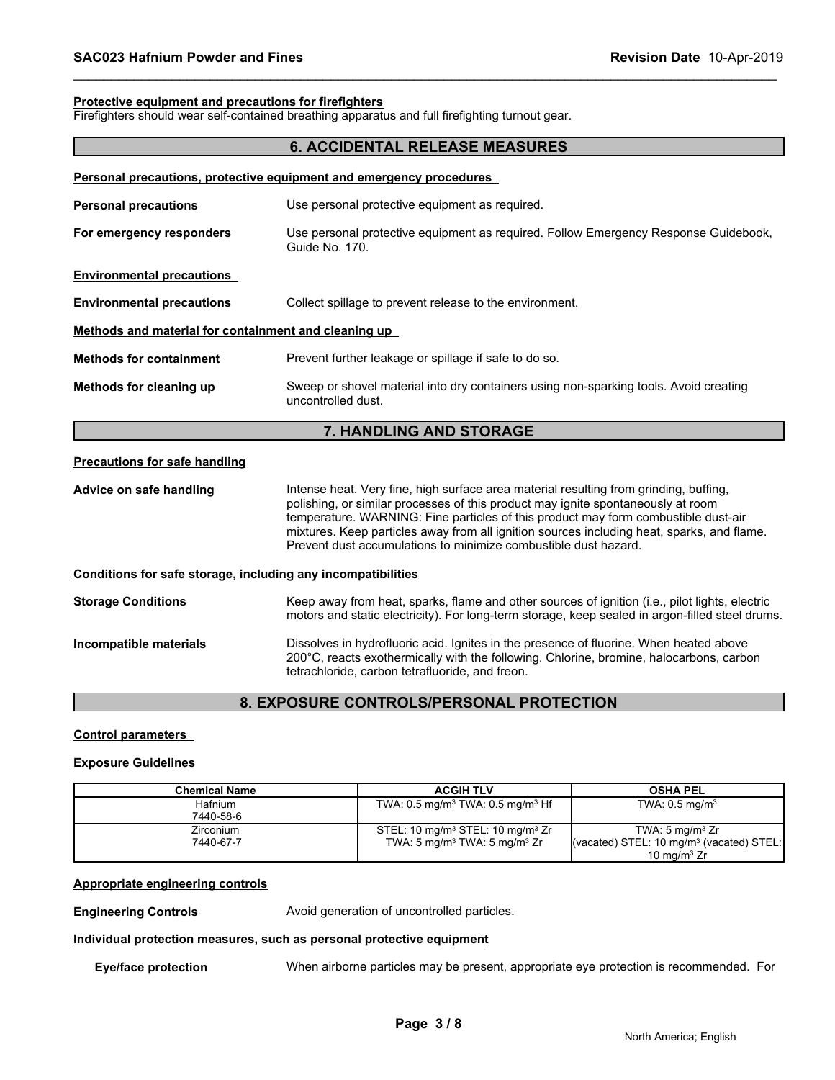#### **Protective equipment and precautions for firefighters**

Firefighters should wear self-contained breathing apparatus and full firefighting turnout gear.

#### **6. ACCIDENTAL RELEASE MEASURES**

| Personal precautions, protective equipment and emergency procedures<br>Use personal protective equipment as required.<br>Guide No. 170.<br>Collect spillage to prevent release to the environment.<br>Methods and material for containment and cleaning up<br>Prevent further leakage or spillage if safe to do so.<br>Sweep or shovel material into dry containers using non-sparking tools. Avoid creating<br>uncontrolled dust.<br>7. HANDLING AND STORAGE<br>Intense heat. Very fine, high surface area material resulting from grinding, buffing,<br>polishing, or similar processes of this product may ignite spontaneously at room<br>temperature. WARNING: Fine particles of this product may form combustible dust-air<br>Prevent dust accumulations to minimize combustible dust hazard.<br>Conditions for safe storage, including any incompatibilities<br>Dissolves in hydrofluoric acid. Ignites in the presence of fluorine. When heated above<br>200°C, reacts exothermically with the following. Chlorine, bromine, halocarbons, carbon |                                      |                                                                                                                                                                                                   |
|----------------------------------------------------------------------------------------------------------------------------------------------------------------------------------------------------------------------------------------------------------------------------------------------------------------------------------------------------------------------------------------------------------------------------------------------------------------------------------------------------------------------------------------------------------------------------------------------------------------------------------------------------------------------------------------------------------------------------------------------------------------------------------------------------------------------------------------------------------------------------------------------------------------------------------------------------------------------------------------------------------------------------------------------------------|--------------------------------------|---------------------------------------------------------------------------------------------------------------------------------------------------------------------------------------------------|
|                                                                                                                                                                                                                                                                                                                                                                                                                                                                                                                                                                                                                                                                                                                                                                                                                                                                                                                                                                                                                                                          |                                      |                                                                                                                                                                                                   |
|                                                                                                                                                                                                                                                                                                                                                                                                                                                                                                                                                                                                                                                                                                                                                                                                                                                                                                                                                                                                                                                          | <b>Personal precautions</b>          |                                                                                                                                                                                                   |
|                                                                                                                                                                                                                                                                                                                                                                                                                                                                                                                                                                                                                                                                                                                                                                                                                                                                                                                                                                                                                                                          | For emergency responders             | Use personal protective equipment as required. Follow Emergency Response Guidebook,                                                                                                               |
|                                                                                                                                                                                                                                                                                                                                                                                                                                                                                                                                                                                                                                                                                                                                                                                                                                                                                                                                                                                                                                                          | <b>Environmental precautions</b>     |                                                                                                                                                                                                   |
|                                                                                                                                                                                                                                                                                                                                                                                                                                                                                                                                                                                                                                                                                                                                                                                                                                                                                                                                                                                                                                                          | <b>Environmental precautions</b>     |                                                                                                                                                                                                   |
|                                                                                                                                                                                                                                                                                                                                                                                                                                                                                                                                                                                                                                                                                                                                                                                                                                                                                                                                                                                                                                                          |                                      |                                                                                                                                                                                                   |
|                                                                                                                                                                                                                                                                                                                                                                                                                                                                                                                                                                                                                                                                                                                                                                                                                                                                                                                                                                                                                                                          | <b>Methods for containment</b>       |                                                                                                                                                                                                   |
|                                                                                                                                                                                                                                                                                                                                                                                                                                                                                                                                                                                                                                                                                                                                                                                                                                                                                                                                                                                                                                                          | Methods for cleaning up              |                                                                                                                                                                                                   |
|                                                                                                                                                                                                                                                                                                                                                                                                                                                                                                                                                                                                                                                                                                                                                                                                                                                                                                                                                                                                                                                          |                                      |                                                                                                                                                                                                   |
|                                                                                                                                                                                                                                                                                                                                                                                                                                                                                                                                                                                                                                                                                                                                                                                                                                                                                                                                                                                                                                                          | <b>Precautions for safe handling</b> |                                                                                                                                                                                                   |
|                                                                                                                                                                                                                                                                                                                                                                                                                                                                                                                                                                                                                                                                                                                                                                                                                                                                                                                                                                                                                                                          | Advice on safe handling              | mixtures. Keep particles away from all ignition sources including heat, sparks, and flame.                                                                                                        |
|                                                                                                                                                                                                                                                                                                                                                                                                                                                                                                                                                                                                                                                                                                                                                                                                                                                                                                                                                                                                                                                          |                                      |                                                                                                                                                                                                   |
|                                                                                                                                                                                                                                                                                                                                                                                                                                                                                                                                                                                                                                                                                                                                                                                                                                                                                                                                                                                                                                                          | <b>Storage Conditions</b>            | Keep away from heat, sparks, flame and other sources of ignition (i.e., pilot lights, electric<br>motors and static electricity). For long-term storage, keep sealed in argon-filled steel drums. |
|                                                                                                                                                                                                                                                                                                                                                                                                                                                                                                                                                                                                                                                                                                                                                                                                                                                                                                                                                                                                                                                          | Incompatible materials               | tetrachloride, carbon tetrafluoride, and freon.                                                                                                                                                   |

#### **8. EXPOSURE CONTROLS/PERSONAL PROTECTION**

#### **Control parameters**

#### **Exposure Guidelines**

| <b>Chemical Name</b> | <b>ACGIH TLV</b>                                         | <b>OSHA PEL</b>                                                           |
|----------------------|----------------------------------------------------------|---------------------------------------------------------------------------|
| Hafnium              | TWA: $0.5 \text{ mg/m}^3$ TWA: $0.5 \text{ mg/m}^3$ Hf   | TWA: $0.5 \text{ mg/m}^3$                                                 |
| 7440-58-6            |                                                          |                                                                           |
| <b>Zirconium</b>     | STEL: 10 mg/m <sup>3</sup> STEL: 10 mg/m <sup>3</sup> Zr | TWA: $5 \text{ mg/m}^3$ Zr                                                |
| 7440-67-7            | TWA: $5 \text{ mg/m}^3$ TWA: $5 \text{ mg/m}^3$ Zr       | $\sqrt{\frac{3}{2}}$ (vacated) STEL: 10 mg/m <sup>3</sup> (vacated) STEL: |
|                      |                                                          | 10 mg/m $3 Zr$                                                            |

#### **Appropriate engineering controls**

**Engineering Controls Avoid generation of uncontrolled particles.** 

#### **Individual protection measures, such as personal protective equipment**

**Eye/face protection** When airborne particles may be present, appropriate eye protection is recommended. For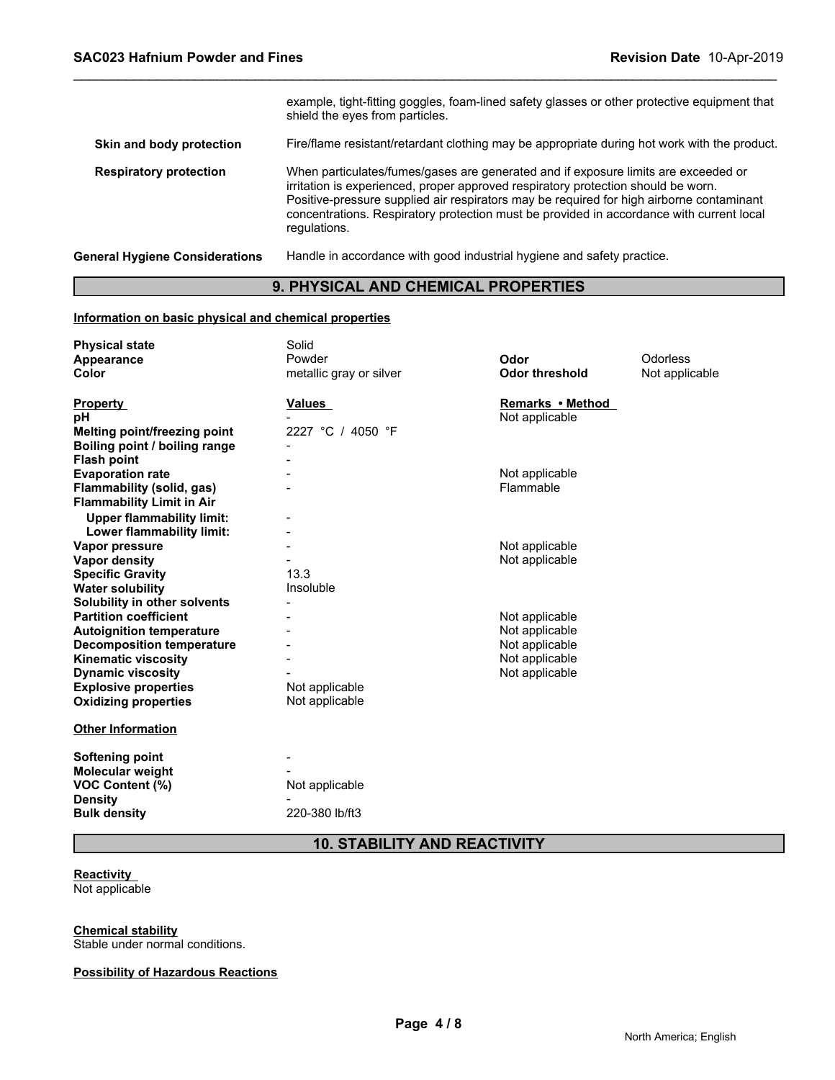|                                       | example, tight-fitting goggles, foam-lined safety glasses or other protective equipment that<br>shield the eyes from particles.                                                                                                                                                                                                                                                 |
|---------------------------------------|---------------------------------------------------------------------------------------------------------------------------------------------------------------------------------------------------------------------------------------------------------------------------------------------------------------------------------------------------------------------------------|
| Skin and body protection              | Fire/flame resistant/retardant clothing may be appropriate during hot work with the product.                                                                                                                                                                                                                                                                                    |
| <b>Respiratory protection</b>         | When particulates/fumes/gases are generated and if exposure limits are exceeded or<br>irritation is experienced, proper approved respiratory protection should be worn.<br>Positive-pressure supplied air respirators may be required for high airborne contaminant<br>concentrations. Respiratory protection must be provided in accordance with current local<br>regulations. |
| <b>General Hygiene Considerations</b> | Handle in accordance with good industrial hygiene and safety practice.                                                                                                                                                                                                                                                                                                          |

### **9. PHYSICAL AND CHEMICAL PROPERTIES**

#### **Information on basic physical and chemical properties**

| <b>Physical state</b>            | Solid                   |                       |                |
|----------------------------------|-------------------------|-----------------------|----------------|
| Appearance                       | Powder                  | Odor                  | Odorless       |
| Color                            | metallic gray or silver | <b>Odor threshold</b> | Not applicable |
|                                  |                         |                       |                |
| <b>Property</b>                  | Values                  | Remarks • Method      |                |
| рH                               |                         | Not applicable        |                |
| Melting point/freezing point     | 2227 °C / 4050 °F       |                       |                |
| Boiling point / boiling range    |                         |                       |                |
| <b>Flash point</b>               |                         |                       |                |
| <b>Evaporation rate</b>          |                         | Not applicable        |                |
| Flammability (solid, gas)        |                         | Flammable             |                |
| <b>Flammability Limit in Air</b> |                         |                       |                |
| <b>Upper flammability limit:</b> |                         |                       |                |
| Lower flammability limit:        |                         |                       |                |
| Vapor pressure                   |                         | Not applicable        |                |
| Vapor density                    |                         | Not applicable        |                |
| <b>Specific Gravity</b>          | 13.3                    |                       |                |
| <b>Water solubility</b>          | Insoluble               |                       |                |
| Solubility in other solvents     |                         |                       |                |
| <b>Partition coefficient</b>     |                         | Not applicable        |                |
| <b>Autoignition temperature</b>  |                         | Not applicable        |                |
| <b>Decomposition temperature</b> |                         | Not applicable        |                |
| <b>Kinematic viscosity</b>       |                         | Not applicable        |                |
| <b>Dynamic viscosity</b>         |                         | Not applicable        |                |
| <b>Explosive properties</b>      | Not applicable          |                       |                |
| <b>Oxidizing properties</b>      | Not applicable          |                       |                |
| <b>Other Information</b>         |                         |                       |                |
|                                  |                         |                       |                |
| <b>Softening point</b>           |                         |                       |                |
| Molecular weight                 |                         |                       |                |
| <b>VOC Content (%)</b>           | Not applicable          |                       |                |
| <b>Density</b>                   |                         |                       |                |
| <b>Bulk density</b>              | 220-380 lb/ft3          |                       |                |
|                                  |                         |                       |                |

### **10. STABILITY AND REACTIVITY**

#### **Reactivity**  Not applicable

#### **Chemical stability**

Stable under normal conditions.

#### **Possibility of Hazardous Reactions**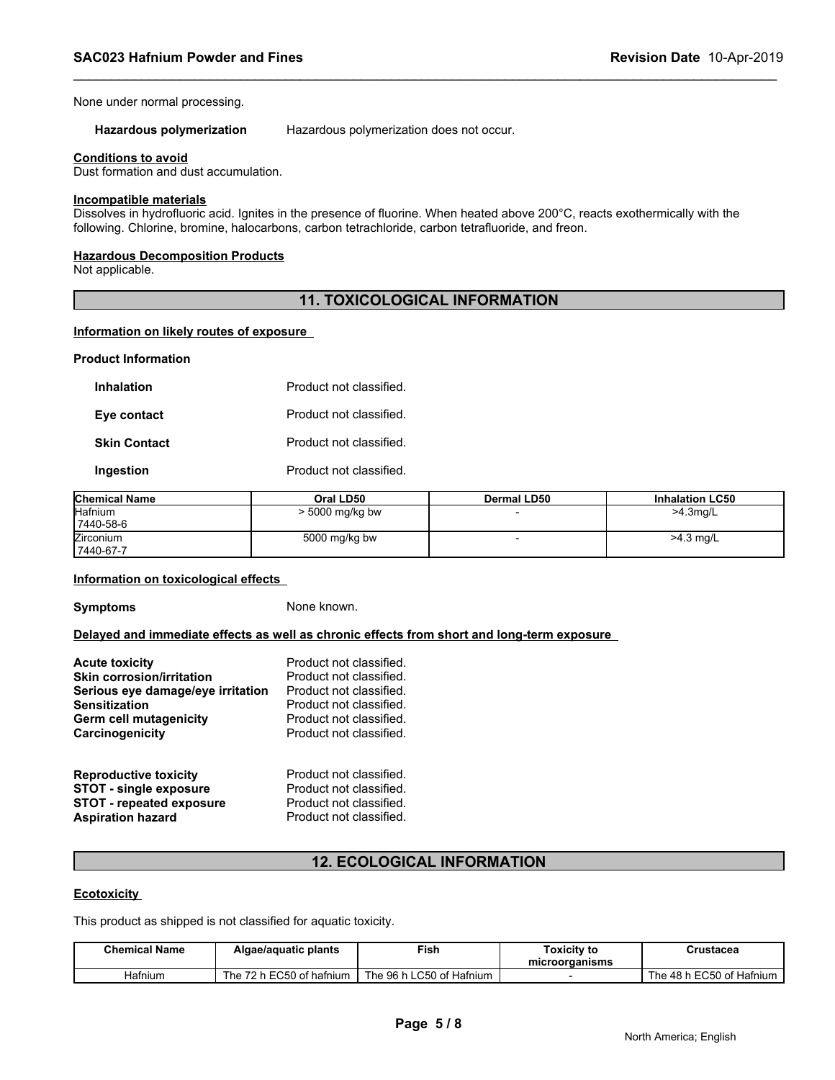None under normal processing.

**Hazardous polymerization** Hazardous polymerization does not occur.

#### **Conditions to avoid**

Dust formation and dust accumulation.

#### **Incompatible materials**

Dissolves in hydrofluoric acid. Ignites in the presence of fluorine. When heated above 200°C, reacts exothermically with the following. Chlorine, bromine, halocarbons, carbon tetrachloride, carbon tetrafluoride, and freon.

#### **Hazardous Decomposition Products**

Not applicable.

#### **11. TOXICOLOGICAL INFORMATION**

#### **Information on likely routes of exposure**

#### **Product Information**

| <b>Inhalation</b>   | Product not classified. |
|---------------------|-------------------------|
| Eye contact         | Product not classified. |
| <b>Skin Contact</b> | Product not classified. |
| Ingestion           | Product not classified. |

| <b>Chemical Name</b> | Oral LD50       | Dermal LD50 | <b>Inhalation LC50</b> |
|----------------------|-----------------|-------------|------------------------|
| <b>Hafnium</b>       | > 5000 mg/kg bw |             | $>4.3$ mg/L            |
| 7440-58-6            |                 |             |                        |
| Zirconium            | 5000 mg/kg bw   |             | $>4.3$ mg/L            |
| 7440-67-7            |                 |             |                        |

#### **Information on toxicological effects**

**Symptoms** None known.

**Delayed and immediate effects as well as chronic effects from short and long-term exposure** 

| <b>Acute toxicity</b>             | Product not classified. |
|-----------------------------------|-------------------------|
| <b>Skin corrosion/irritation</b>  | Product not classified. |
| Serious eye damage/eye irritation | Product not classified. |
| <b>Sensitization</b>              | Product not classified. |
| Germ cell mutagenicity            | Product not classified. |
| Carcinogenicity                   | Product not classified. |
| <b>Reproductive toxicity</b>      | Product not classified. |
| <b>STOT - single exposure</b>     | Product not classified. |
| <b>STOT - repeated exposure</b>   | Product not classified. |
| <b>Aspiration hazard</b>          | Product not classified. |

#### **12. ECOLOGICAL INFORMATION**

#### **Ecotoxicity**

| <b>STOT - repeated exposure</b><br><b>Aspiration hazard</b> | Product not classified.<br>Product not classified.              |                                   |                                      |           |
|-------------------------------------------------------------|-----------------------------------------------------------------|-----------------------------------|--------------------------------------|-----------|
|                                                             |                                                                 | <b>12. ECOLOGICAL INFORMATION</b> |                                      |           |
| <b>Ecotoxicity</b>                                          |                                                                 |                                   |                                      |           |
|                                                             |                                                                 |                                   |                                      |           |
|                                                             | This product as shipped is not classified for aquatic toxicity. |                                   |                                      |           |
| <b>Chemical Name</b>                                        | Algae/aquatic plants                                            | <b>Fish</b>                       | <b>Toxicity to</b><br>microorganisms | Crustacea |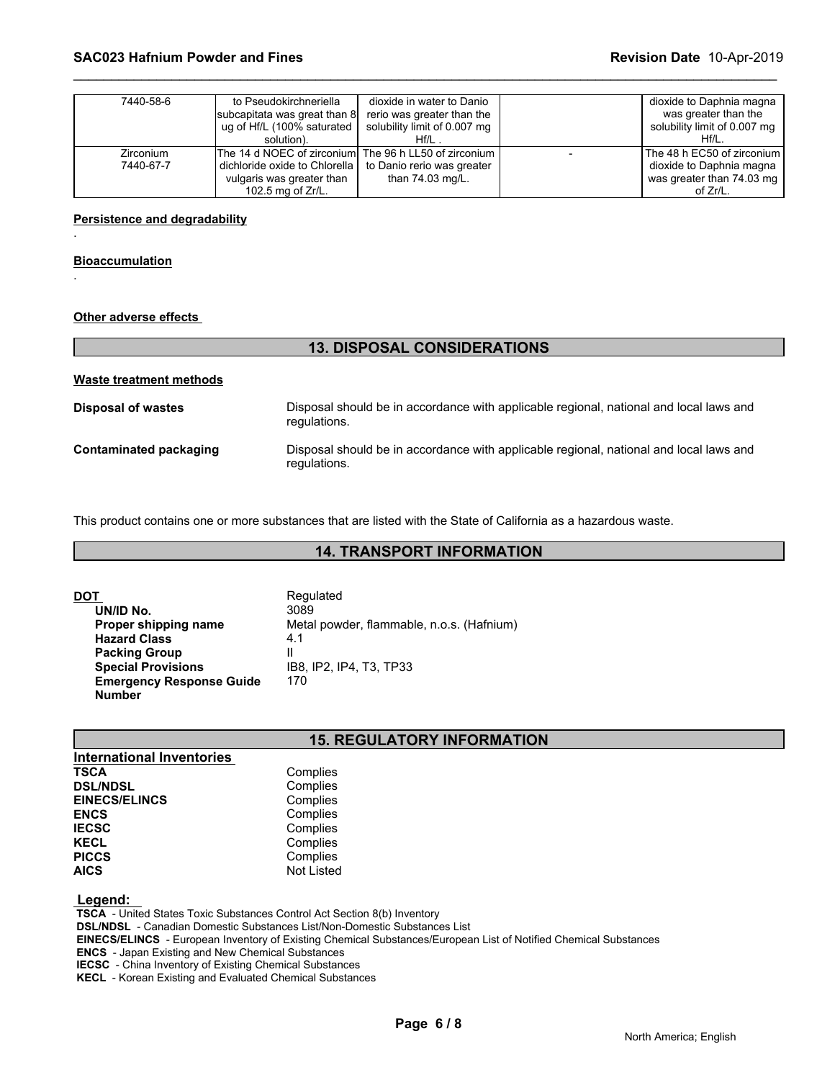| The 14 d NOEC of zirconiumI The 96 h LL50 of zirconium<br>The 48 h EC50 of zirconium l<br>Zirconium<br>7440-67-7<br>dichloride oxide to Chlorella<br>dioxide to Daphnia magna<br>to Danio rerio was greater<br>than $74.03$ mg/L.<br>was greater than 74.03 mg<br>vulgaris was greater than<br>102.5 mg of $Zr/L$ .<br>of Zr/L. | 7440-58-6 | to Pseudokirchneriella<br>subcapitata was great than 8<br>ug of Hf/L (100% saturated<br>solution). | dioxide in water to Danio<br>rerio was greater than the<br>solubility limit of 0.007 mg<br>Hf/L . | dioxide to Daphnia magna<br>was greater than the<br>solubility limit of 0.007 mg<br>Hf/L. |
|---------------------------------------------------------------------------------------------------------------------------------------------------------------------------------------------------------------------------------------------------------------------------------------------------------------------------------|-----------|----------------------------------------------------------------------------------------------------|---------------------------------------------------------------------------------------------------|-------------------------------------------------------------------------------------------|
|                                                                                                                                                                                                                                                                                                                                 |           |                                                                                                    |                                                                                                   |                                                                                           |

#### **Persistence and degradability**

#### **Bioaccumulation**

.

.

#### **Other adverse effects**

|                         | <b>13. DISPOSAL CONSIDERATIONS</b>                                                                     |
|-------------------------|--------------------------------------------------------------------------------------------------------|
| Waste treatment methods |                                                                                                        |
| Disposal of wastes      | Disposal should be in accordance with applicable regional, national and local laws and<br>regulations. |
| Contaminated packaging  | Disposal should be in accordance with applicable regional, national and local laws and<br>regulations. |

This product contains one or more substances that are listed with the State of California as a hazardous waste.

### **14. TRANSPORT INFORMATION**

| DOT                             | Regulated                                 |
|---------------------------------|-------------------------------------------|
| UN/ID No.                       | 3089                                      |
| Proper shipping name            | Metal powder, flammable, n.o.s. (Hafnium) |
| <b>Hazard Class</b>             | 4.1                                       |
| <b>Packing Group</b>            | Ш                                         |
| <b>Special Provisions</b>       | IB8. IP2. IP4. T3. TP33                   |
| <b>Emergency Response Guide</b> | 170                                       |
| <b>Number</b>                   |                                           |

#### **15. REGULATORY INFORMATION**

| Complies          |  |
|-------------------|--|
| Complies          |  |
| Complies          |  |
| Complies          |  |
| Complies          |  |
| Complies          |  |
| Complies          |  |
| <b>Not Listed</b> |  |
|                   |  |

#### **Legend:**

 **TSCA** - United States Toxic Substances Control Act Section 8(b) Inventory

 **DSL/NDSL** - Canadian Domestic Substances List/Non-Domestic Substances List

 **EINECS/ELINCS** - European Inventory of Existing Chemical Substances/European List of Notified Chemical Substances

 **ENCS** - Japan Existing and New Chemical Substances

 **IECSC** - China Inventory of Existing Chemical Substances

 **KECL** - Korean Existing and Evaluated Chemical Substances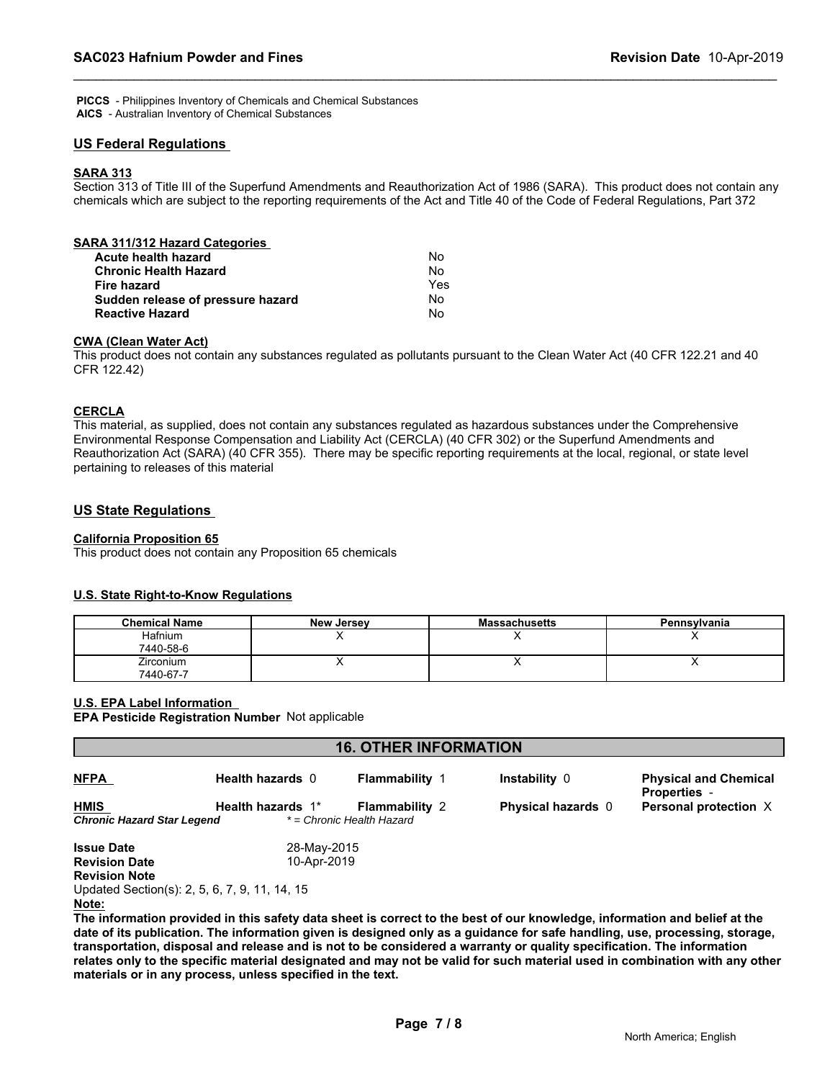**PICCS** - Philippines Inventory of Chemicals and Chemical Substances  **AICS** - Australian Inventory of Chemical Substances

#### **US Federal Regulations**

#### **SARA 313**

Section 313 of Title III of the Superfund Amendments and Reauthorization Act of 1986 (SARA). This product does not contain any chemicals which are subject to the reporting requirements of the Act and Title 40 of the Code of Federal Regulations, Part 372

#### **CWA (Clean Water Act)**

This product does not contain any substances regulated as pollutants pursuant to the Clean Water Act (40 CFR 122.21 and 40 CFR 122.42)

#### **CERCLA**

This material, as supplied, does not contain any substances regulated as hazardous substances under the Comprehensive Environmental Response Compensation and Liability Act (CERCLA) (40 CFR 302) or the Superfund Amendments and Reauthorization Act (SARA) (40 CFR 355). There may be specific reporting requirements at the local, regional, or state level pertaining to releases of this material

#### **US State Regulations**

#### **California Proposition 65**

This product does not contain any Proposition 65 chemicals

#### **U.S. State Right-to-Know Regulations**

| <b>Chemical Name</b> | <b>New Jersey</b> | <b>Massachusetts</b> | Pennsylvania |
|----------------------|-------------------|----------------------|--------------|
| Hafnium              |                   |                      | ,,           |
| 7440-58-6            |                   |                      |              |
| Zirconium            |                   |                      | . .          |
| 7440-67-7            |                   |                      |              |

#### **U.S. EPA Label Information**

**EPA Pesticide Registration Number** Not applicable

| <b>16. OTHER INFORMATION</b>                                      |                            |                                                    |                           |                                                     |  |
|-------------------------------------------------------------------|----------------------------|----------------------------------------------------|---------------------------|-----------------------------------------------------|--|
| <b>NFPA</b>                                                       | Health hazards 0           | <b>Flammability 1</b>                              | Instability 0             | <b>Physical and Chemical</b><br><b>Properties -</b> |  |
| <b>HMIS</b><br>Chronic Hazard Star Legend                         | Health hazards 1*          | <b>Flammability 2</b><br>* = Chronic Health Hazard | <b>Physical hazards</b> 0 | Personal protection X                               |  |
| <b>Issue Date</b><br><b>Revision Date</b><br><b>Revision Note</b> | 28-May-2015<br>10-Apr-2019 |                                                    |                           |                                                     |  |

Updated Section(s): 2, 5, 6, 7, 9, 11, 14, 15

### **Note:**

**The information provided in this safety data sheet is correct to the best of our knowledge, information and belief at the date of its publication. The information given is designed only as a guidance for safe handling, use, processing, storage, transportation, disposal and release and is not to be considered a warranty or quality specification. The information relates only to the specific material designated and may not be valid for such material used in combination with any other materials or in any process, unless specified in the text.**